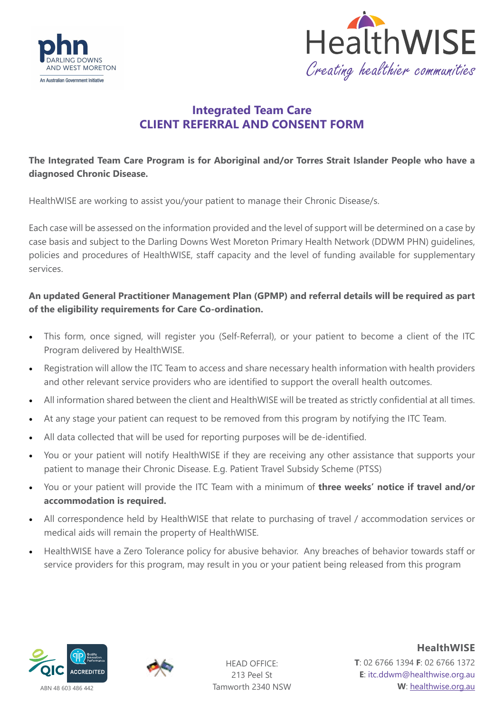



# **Integrated Team Care CLIENT REFERRAL AND CONSENT FORM**

# **The Integrated Team Care Program is for Aboriginal and/or Torres Strait Islander People who have a diagnosed Chronic Disease.**

HealthWISE are working to assist you/your patient to manage their Chronic Disease/s.

Each case will be assessed on the information provided and the level of support will be determined on a case by case basis and subject to the Darling Downs West Moreton Primary Health Network (DDWM PHN) guidelines, policies and procedures of HealthWISE, staff capacity and the level of funding available for supplementary services.

### **An updated General Practitioner Management Plan (GPMP) and referral details will be required as part of the eligibility requirements for Care Co-ordination.**

- This form, once signed, will register you (Self-Referral), or your patient to become a client of the ITC Program delivered by HealthWISE.
- Registration will allow the ITC Team to access and share necessary health information with health providers and other relevant service providers who are identified to support the overall health outcomes.
- All information shared between the client and HealthWISE will be treated as strictly confidential at all times.
- At any stage your patient can request to be removed from this program by notifying the ITC Team.
- All data collected that will be used for reporting purposes will be de-identified.
- You or your patient will notify HealthWISE if they are receiving any other assistance that supports your patient to manage their Chronic Disease. E.g. Patient Travel Subsidy Scheme (PTSS)
- You or your patient will provide the ITC Team with a minimum of **three weeks' notice if travel and/or accommodation is required.**
- All correspondence held by HealthWISE that relate to purchasing of travel / accommodation services or medical aids will remain the property of HealthWISE.
- HealthWISE have a Zero Tolerance policy for abusive behavior. Any breaches of behavior towards staff or service providers for this program, may result in you or your patient being released from this program





HEAD OFFICE: 213 Peel St Tamworth 2340 NSW

**HealthWISE T**: 02 6766 1394 **F**: 02 6766 1372 **E**: itc.ddwm@healthwise.org.au **W**: [healthwise.org.au](https://healthwisenenw.com.au/)